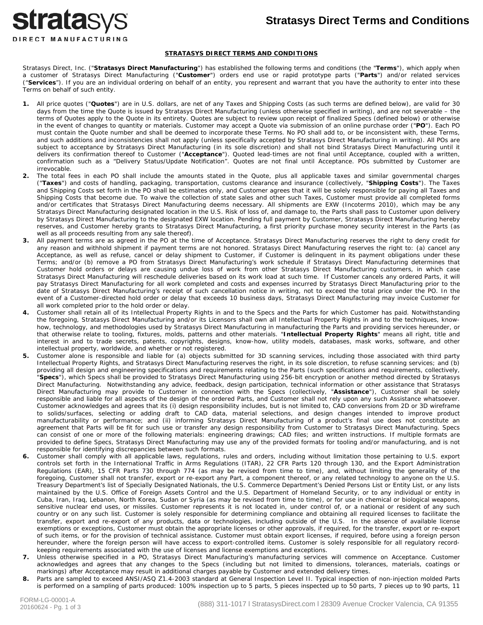### **Stratasys Direct Terms and Conditions**



#### **STRATASYS DIRECT TERMS AND CONDITIONS**

Stratasys Direct, Inc. ("**Stratasys Direct Manufacturing**") has established the following terms and conditions (the "**Terms**"), which apply when a customer of Stratasys Direct Manufacturing ("**Customer**") orders end use or rapid prototype parts ("**Parts**") and/or related services ("**Services**"). If you are an individual ordering on behalf of an entity, you represent and warrant that you have the authority to enter into these Terms on behalf of such entity.

- **1.** All price quotes ("**Quotes**") are in U.S. dollars, are net of any Taxes and Shipping Costs (as such terms are defined below), are valid for 30 days from the time the Quote is issued by Stratasys Direct Manufacturing (unless otherwise specified in writing), and are not severable – the terms of Quotes apply to the Quote in its entirety. Quotes are subject to review upon receipt of finalized Specs (defined below) or otherwise in the event of changes to quantity or materials. Customer may accept a Quote via submission of an online purchase order ("**PO**"). Each PO must contain the Quote number and shall be deemed to incorporate these Terms. No PO shall add to, or be inconsistent with, these Terms, and such additions and inconsistencies shall not apply (unless specifically accepted by Stratasys Direct Manufacturing in writing). All POs are subject to acceptance by Stratasys Direct Manufacturing (in its sole discretion) and shall not bind Stratasys Direct Manufacturing until it delivers its confirmation thereof to Customer ("**Acceptance**"). Quoted lead-times are not final until Acceptance, coupled with a written, confirmation such as a "Delivery Status/Update Notification". Quotes are not final until Acceptance. POs submitted by Customer are irrevocable.
- **2.** The total fees in each PO shall include the amounts stated in the Quote, plus all applicable taxes and similar governmental charges ("**Taxes**") and costs of handling, packaging, transportation, customs clearance and insurance (collectively, "**Shipping Costs**"). The Taxes and Shipping Costs set forth in the PO shall be estimates only, and Customer agrees that it will be solely responsible for paying all Taxes and Shipping Costs that become due. To waive the collection of state sales and other such Taxes, Customer must provide all completed forms and/or certificates that Stratasys Direct Manufacturing deems necessary. All shipments are EXW (Incoterms 2010), which may be any Stratasys Direct Manufacturing designated location in the U.S. Risk of loss of, and damage to, the Parts shall pass to Customer upon delivery by Stratasys Direct Manufacturing to the designated EXW location. Pending full payment by Customer, Stratasys Direct Manufacturing hereby reserves, and Customer hereby grants to Stratasys Direct Manufacturing, a first priority purchase money security interest in the Parts (as well as all proceeds resulting from any sale thereof).
- **3.** All payment terms are as agreed in the PO at the time of Acceptance. Stratasys Direct Manufacturing reserves the right to deny credit for any reason and withhold shipment if payment terms are not honored. Stratasys Direct Manufacturing reserves the right to: (a) cancel any Acceptance, as well as refuse, cancel or delay shipment to Customer, if Customer is delinquent in its payment obligations under these Terms; and/or (b) remove a PO from Stratasys Direct Manufacturing's work schedule if Stratasys Direct Manufacturing determines that Customer hold orders or delays are causing undue loss of work from other Stratasys Direct Manufacturing customers, in which case Stratasys Direct Manufacturing will reschedule deliveries based on its work load at such time. If Customer cancels any ordered Parts, it will pay Stratasys Direct Manufacturing for all work completed and costs and expenses incurred by Stratasys Direct Manufacturing prior to the date of Stratasys Direct Manufacturing's receipt of such cancellation notice in writing, not to exceed the total price under the PO. In the event of a Customer-directed hold order or delay that exceeds 10 business days, Stratasys Direct Manufacturing may invoice Customer for all work completed prior to the hold order or delay.
- **4.** Customer shall retain all of its Intellectual Property Rights in and to the Specs and the Parts for which Customer has paid. Notwithstanding the foregoing, Stratasys Direct Manufacturing and/or its Licensors shall own all Intellectual Property Rights in and to the techniques, knowhow, technology, and methodologies used by Stratasys Direct Manufacturing in manufacturing the Parts and providing services hereunder, or that otherwise relate to tooling, fixtures, molds, patterns and other materials. "**Intellectual Property Rights**" means all right, title and interest in and to trade secrets, patents, copyrights, designs, know-how, utility models, databases, mask works, software, and other intellectual property, worldwide, and whether or not registered.
- **5.** Customer alone is responsible and liable for (a) objects submitted for 3D scanning services, including those associated with third party Intellectual Property Rights, and Stratasys Direct Manufacturing reserves the right, in its sole discretion, to refuse scanning services; and (b) providing all design and engineering specifications and requirements relating to the Parts (such specifications and requirements, collectively, "**Specs**"), which Specs shall be provided to Stratasys Direct Manufacturing using 256-bit encryption or another method directed by Stratasys Direct Manufacturing. Notwithstanding any advice, feedback, design participation, technical information or other assistance that Stratasys Direct Manufacturing may provide to Customer in connection with the Specs (collectively, "**Assistance**"), Customer shall be solely responsible and liable for all aspects of the design of the ordered Parts, and Customer shall not rely upon any such Assistance whatsoever. Customer acknowledges and agrees that its (i) design responsibility includes, but is not limited to, CAD conversions from 2D or 3D wireframe to solids/surfaces, selecting or adding draft to CAD data, material selections, and design changes intended to improve product manufacturability or performance; and (ii) informing Stratasys Direct Manufacturing of a product's final use does not constitute an agreement that Parts will be fit for such use or transfer any design responsibility from Customer to Stratasys Direct Manufacturing. Specs can consist of one or more of the following materials: engineering drawings; CAD files; and written instructions. If multiple formats are provided to define Specs, Stratasys Direct Manufacturing may use any of the provided formats for tooling and/or manufacturing, and is not responsible for identifying discrepancies between such formats.
- **6.** Customer shall comply with all applicable laws, regulations, rules and orders, including without limitation those pertaining to U.S. export controls set forth in the International Traffic in Arms Regulations (ITAR), 22 CFR Parts 120 through 130, and the Export Administration Regulations (EAR), 15 CFR Parts 730 through 774 (as may be revised from time to time), and, without limiting the generality of the foregoing, Customer shall not transfer, export or re-export any Part, a component thereof, or any related technology to anyone on the U.S. Treasury Department's list of Specially Designated Nationals, the U.S. Commerce Department's Denied Persons List or Entity List, or any lists maintained by the U.S. Office of Foreign Assets Control and the U.S. Department of Homeland Security, or to any individual or entity in Cuba, Iran, Iraq, Lebanon, North Korea, Sudan or Syria (as may be revised from time to time), or for use in chemical or biological weapons, sensitive nuclear end uses, or missiles. Customer represents it is not located in, under control of, or a national or resident of any such country or on any such list. Customer is solely responsible for determining compliance and obtaining all required licenses to facilitate the transfer, export and re-export of any products, data or technologies, including outside of the U.S. In the absence of available license exemptions or exceptions, Customer must obtain the appropriate licenses or other approvals, if required, for the transfer, export or re-export of such items, or for the provision of technical assistance. Customer must obtain export licenses, if required, before using a foreign person hereunder, where the foreign person will have access to export-controlled items. Customer is solely responsible for all regulatory recordkeeping requirements associated with the use of licenses and license exemptions and exceptions.
- **7.** Unless otherwise specified in a PO, Stratasys Direct Manufacturing's manufacturing services will commence on Acceptance. Customer acknowledges and agrees that any changes to the Specs (including but not limited to dimensions, tolerances, materials, coatings or markings) after Acceptance may result in additional charges payable by Customer and extended delivery times.
- **8.** Parts are sampled to exceed ANSI/ASQ Z1.4-2003 standard at General Inspection Level II. Typical inspection of non-injection molded Parts is performed on a sampling of parts produced: 100% inspection up to 5 parts, 5 pieces inspected up to 50 parts, 7 pieces up to 90 parts, 11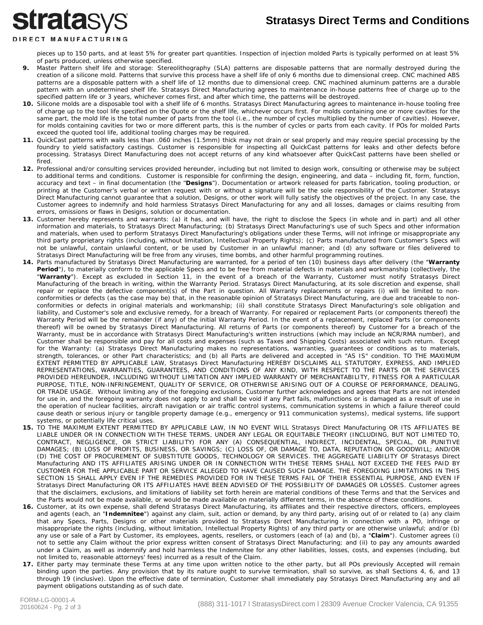## **Stratasys Direct Terms and Conditions**

# **stratasys** DIRECT MANUFACTURING

pieces up to 150 parts, and at least 5% for greater part quantities. Inspection of injection molded Parts is typically performed on at least 5% of parts produced, unless otherwise specified.

- **9.** Master Pattern shelf life and storage: Stereolithography (SLA) patterns are disposable patterns that are normally destroyed during the creation of a silicone mold. Patterns that survive this process have a shelf life of only 6 months due to dimensional creep. CNC machined ABS patterns are a disposable pattern with a shelf life of 12 months due to dimensional creep. CNC machined aluminum patterns are a durable pattern with an undetermined shelf life. Stratasys Direct Manufacturing agrees to maintenance in-house patterns free of charge up to the specified pattern life or 3 years, whichever comes first, and after which time, the patterns will be destroyed.
- **10.** Silicone molds are a disposable tool with a shelf life of 6 months. Stratasys Direct Manufacturing agrees to maintenance in-house tooling free of charge up to the tool life specified on the Quote or the shelf life, whichever occurs first. For molds containing one or more cavities for the same part, the mold life is the total number of parts from the tool (i.e., the number of cycles multiplied by the number of cavities). However, for molds containing cavities for two or more different parts, this is the number of cycles or parts from each cavity. If POs for molded Parts exceed the quoted tool life, additional tooling charges may be required.
- **11.** QuickCast patterns with walls less than .060 inches (1.5mm) thick may not drain or seal properly and may require special processing by the foundry to yield satisfactory castings. Customer is responsible for inspecting all QuickCast patterns for leaks and other defects before processing. Stratasys Direct Manufacturing does not accept returns of any kind whatsoever after QuickCast patterns have been shelled or fired.
- **12.** Professional and/or consulting services provided hereunder, including but not limited to design work, consulting or otherwise may be subject to additional terms and conditions. Customer is responsible for confirming the design, engineering, and data – including fit, form, function, accuracy and text – in final documentation (the "**Designs**"). Documentation or artwork released for parts fabrication, tooling production, or printing at the Customer's verbal or written request with or without a signature will be the sole responsibility of the Customer. Stratasys Direct Manufacturing cannot guarantee that a solution, Designs, or other work will fully satisfy the objectives of the project. In any case, the Customer agrees to indemnify and hold harmless Stratasys Direct Manufacturing for any and all losses, damages or claims resulting from errors, omissions or flaws in Designs, solution or documentation.
- **13.** Customer hereby represents and warrants: (a) it has, and will have, the right to disclose the Specs (in whole and in part) and all other information and materials, to Stratasys Direct Manufacturing; (b) Stratasys Direct Manufacturing's use of such Specs and other information and materials, when used to perform Stratasys Direct Manufacturing's obligations under these Terms, will not infringe or misappropriate any third party proprietary rights (including, without limitation, Intellectual Property Rights); (c) Parts manufactured from Customer's Specs will not be unlawful, contain unlawful content, or be used by Customer in an unlawful manner; and (d) any software or files delivered to Stratasys Direct Manufacturing will be free from any viruses, time bombs, and other harmful programming routines.
- **14.** Parts manufactured by Stratasys Direct Manufacturing are warranted, for a period of ten (10) business days after delivery (the "**Warranty**  Period"), to materially conform to the applicable Specs and to be free from material defects in materials and workmanship (collectively, the "**Warranty**"). Except as excluded in Section 11, in the event of a breach of the Warranty, Customer must notify Stratasys Direct Manufacturing of the breach in writing, within the Warranty Period. Stratasys Direct Manufacturing, at its sole discretion and expense, shall repair or replace the defective component(s) of the Part in question. All Warranty replacements or repairs (i) will be limited to nonconformities or defects (as the case may be) that, in the reasonable opinion of Stratasys Direct Manufacturing, are due and traceable to nonconformities or defects in original materials and workmanship; (ii) shall constitute Stratasys Direct Manufacturing's sole obligation and liability, and Customer's sole and exclusive remedy, for a breach of Warranty. For repaired or replacement Parts (or components thereof) the Warranty Period will be the remainder (if any) of the initial Warranty Period. In the event of a replacement, replaced Parts (or components thereof) will be owned by Stratasys Direct Manufacturing. All returns of Parts (or components thereof) by Customer for a breach of the Warranty, must be in accordance with Stratasys Direct Manufacturing's written instructions (which may include an NCR/RMA number), and Customer shall be responsible and pay for all costs and expenses (such as Taxes and Shipping Costs) associated with such return. Except for the Warranty: (a) Stratasys Direct Manufacturing makes no representations, warranties, guarantees or conditions as to materials, strength, tolerances, or other Part characteristics; and (b) all Parts are delivered and accepted in "AS IS" condition. TO THE MAXIMUM EXTENT PERMITTED BY APPLICABLE LAW, Stratasys Direct Manufacturing HEREBY DISCLAIMS ALL STATUTORY, EXPRESS, AND IMPLIED REPRESENTATIONS, WARRANTIES, GUARANTEES, AND CONDITIONS OF ANY KIND, WITH RESPECT TO THE PARTS OR THE SERVICES PROVIDED HEREUNDER, INCLUDING WITHOUT LIMITATION ANY IMPLIED WARRANTY OF MERCHANTABILITY, FITNESS FOR A PARTICULAR PURPOSE, TITLE, NON-INFRINGEMENT, QUALITY OF SERVICE, OR OTHERWISE ARISING OUT OF A COURSE OF PERFORMANCE, DEALING, OR TRADE USAGE. Without limiting any of the foregoing exclusions, Customer further acknowledges and agrees that Parts are not intended for use in, and the foregoing warranty does not apply to and shall be void if any Part fails, malfunctions or is damaged as a result of use in the operation of nuclear facilities, aircraft navigation or air traffic control systems, communication systems in which a failure thereof could cause death or serious injury or tangible property damage (e.g., emergency or 911 communication systems), medical systems, life support systems, or potentially life critical uses.
- **15.** TO THE MAXIMUM EXTENT PERMITTED BY APPLICABLE LAW, IN NO EVENT WILL Stratasys Direct Manufacturing OR ITS AFFILIATES BE LIABLE UNDER OR IN CONNECTION WITH THESE TERMS, UNDER ANY LEGAL OR EQUITABLE THEORY (INCLUDING, BUT NOT LIMITED TO, CONTRACT, NEGLIGENCE, OR STRICT LIABILITY) FOR ANY (A) CONSEQUENTIAL, INDIRECT, INCIDENTAL, SPECIAL, OR PUNITIVE DAMAGES; (B) LOSS OF PROFITS, BUSINESS, OR SAVINGS; (C) LOSS OF, OR DAMAGE TO, DATA, REPUTATION OR GOODWILL; AND/OR (D) THE COST OF PROCUREMENT OF SUBSTITUTE GOODS, TECHNOLOGY OR SERVICES. THE AGGREGATE LIABILITY OF Stratasys Direct Manufacturing AND ITS AFFILIATES ARISING UNDER OR IN CONNECTION WITH THESE TERMS SHALL NOT EXCEED THE FEES PAID BY CUSTOMER FOR THE APPLICABLE PART OR SERVICE ALLEGED TO HAVE CAUSED SUCH DAMAGE. THE FOREGOING LIMITATIONS IN THIS SECTION 15 SHALL APPLY EVEN IF THE REMEDIES PROVIDED FOR IN THESE TERMS FAIL OF THEIR ESSENTIAL PURPOSE, AND EVEN IF Stratasys Direct Manufacturing OR ITS AFFILIATES HAVE BEEN ADVISED OF THE POSSIBILITY OF DAMAGES OR LOSSES. Customer agrees that the disclaimers, exclusions, and limitations of liability set forth herein are material conditions of these Terms and that the Services and the Parts would not be made available, or would be made available on materially different terms, in the absence of these conditions.
- **16.** Customer, at its own expense, shall defend Stratasys Direct Manufacturing, its affiliates and their respective directors, officers, employees and agents (each, an "**Indemnitee**") against any claim, suit, action or demand, by any third party, arising out of or related to (a) any claim that any Specs, Parts, Designs or other materials provided to Stratasys Direct Manufacturing in connection with a PO, infringe or misappropriate the rights (including, without limitation, Intellectual Property Rights) of any third party or are otherwise unlawful; and/or (b) any use or sale of a Part by Customer, its employees, agents, resellers, or customers (each of (a) and (b), a "Claim"). Customer agrees (i) not to settle any Claim without the prior express written consent of Stratasys Direct Manufacturing; and (ii) to pay any amounts awarded under a Claim, as well as indemnify and hold harmless the Indemnitee for any other liabilities, losses, costs, and expenses (including, but not limited to, reasonable attorneys' fees) incurred as a result of the Claim.
- **17.** Either party may terminate these Terms at any time upon written notice to the other party, but all POs previously Accepted will remain binding upon the parties. Any provision that by its nature ought to survive termination, shall so survive, as shall Sections 4, 6, and 13 through 19 (inclusive). Upon the effective date of termination, Customer shall immediately pay Stratasys Direct Manufacturing any and all payment obligations outstanding as of such date.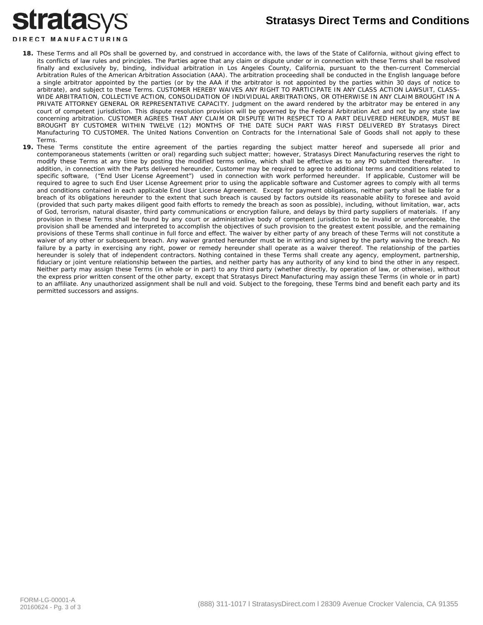# **stratasys**

### **Stratasys Direct Terms and Conditions**

### DIRECT MANUFACTURING

- **18.** These Terms and all POs shall be governed by, and construed in accordance with, the laws of the State of California, without giving effect to its conflicts of law rules and principles. The Parties agree that any claim or dispute under or in connection with these Terms shall be resolved finally and exclusively by, binding, individual arbitration in Los Angeles County, California, pursuant to the then-current Commercial Arbitration Rules of the American Arbitration Association (AAA). The arbitration proceeding shall be conducted in the English language before a single arbitrator appointed by the parties (or by the AAA if the arbitrator is not appointed by the parties within 30 days of notice to arbitrate), and subject to these Terms. CUSTOMER HEREBY WAIVES ANY RIGHT TO PARTICIPATE IN ANY CLASS ACTION LAWSUIT, CLASS-WIDE ARBITRATION, COLLECTIVE ACTION, CONSOLIDATION OF INDIVIDUAL ARBITRATIONS, OR OTHERWISE IN ANY CLAIM BROUGHT IN A PRIVATE ATTORNEY GENERAL OR REPRESENTATIVE CAPACITY. Judgment on the award rendered by the arbitrator may be entered in any court of competent jurisdiction. This dispute resolution provision will be governed by the Federal Arbitration Act and not by any state law concerning arbitration. CUSTOMER AGREES THAT ANY CLAIM OR DISPUTE WITH RESPECT TO A PART DELIVERED HEREUNDER, MUST BE BROUGHT BY CUSTOMER WITHIN TWELVE (12) MONTHS OF THE DATE SUCH PART WAS FIRST DELIVERED BY Stratasys Direct Manufacturing TO CUSTOMER. The United Nations Convention on Contracts for the International Sale of Goods shall not apply to these Terms.
- **19.** These Terms constitute the entire agreement of the parties regarding the subject matter hereof and supersede all prior and contemporaneous statements (written or oral) regarding such subject matter; however, Stratasys Direct Manufacturing reserves the right to modify these Terms at any time by posting the modified terms online, which shall be effective as to any PO submitted thereafter. In addition, in connection with the Parts delivered hereunder, Customer may be required to agree to additional terms and conditions related to specific software, ("End User License Agreement") used in connection with work performed hereunder. If applicable, Customer will be required to agree to such End User License Agreement prior to using the applicable software and Customer agrees to comply with all terms and conditions contained in each applicable End User License Agreement. Except for payment obligations, neither party shall be liable for a breach of its obligations hereunder to the extent that such breach is caused by factors outside its reasonable ability to foresee and avoid (provided that such party makes diligent good faith efforts to remedy the breach as soon as possible), including, without limitation, war, acts of God, terrorism, natural disaster, third party communications or encryption failure, and delays by third party suppliers of materials. If any provision in these Terms shall be found by any court or administrative body of competent jurisdiction to be invalid or unenforceable, the provision shall be amended and interpreted to accomplish the objectives of such provision to the greatest extent possible, and the remaining provisions of these Terms shall continue in full force and effect. The waiver by either party of any breach of these Terms will not constitute a waiver of any other or subsequent breach. Any waiver granted hereunder must be in writing and signed by the party waiving the breach. No failure by a party in exercising any right, power or remedy hereunder shall operate as a waiver thereof. The relationship of the parties hereunder is solely that of independent contractors. Nothing contained in these Terms shall create any agency, employment, partnership, fiduciary or joint venture relationship between the parties, and neither party has any authority of any kind to bind the other in any respect. Neither party may assign these Terms (in whole or in part) to any third party (whether directly, by operation of law, or otherwise), without the express prior written consent of the other party, except that Stratasys Direct Manufacturing may assign these Terms (in whole or in part) to an affiliate. Any unauthorized assignment shall be null and void. Subject to the foregoing, these Terms bind and benefit each party and its permitted successors and assigns.